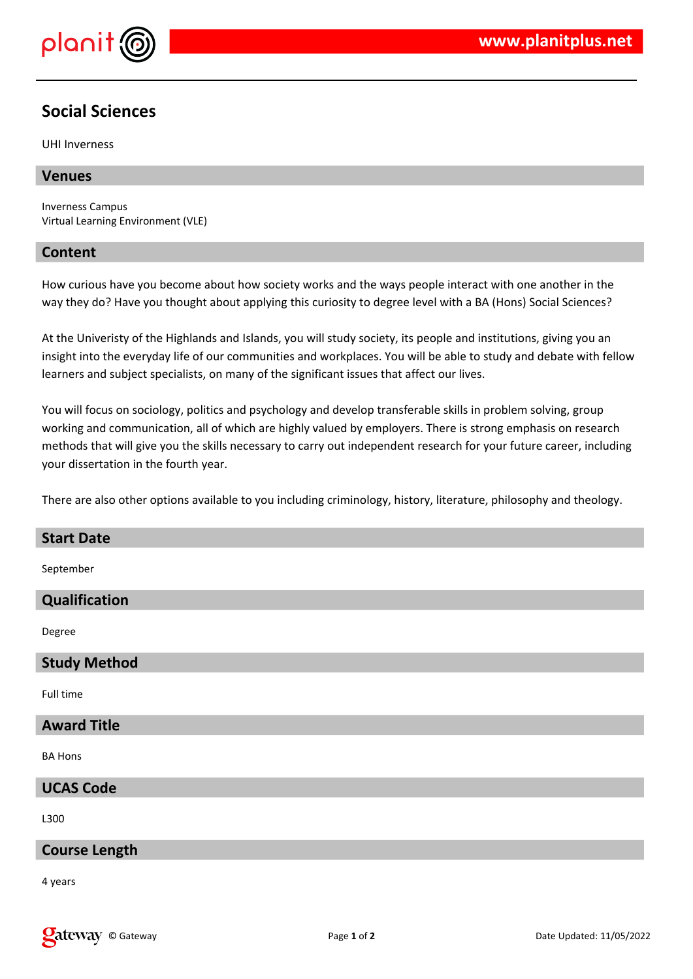

## **Social Sciences**

UHI Inverness

## **Venues**

Inverness Campus Virtual Learning Environment (VLE)

## **Content**

How curious have you become about how society works and the ways people interact with one another in the way they do? Have you thought about applying this curiosity to degree level with a BA (Hons) Social Sciences?

At the Univeristy of the Highlands and Islands, you will study society, its people and institutions, giving you an insight into the everyday life of our communities and workplaces. You will be able to study and debate with fellow learners and subject specialists, on many of the significant issues that affect our lives.

You will focus on sociology, politics and psychology and develop transferable skills in problem solving, group working and communication, all of which are highly valued by employers. There is strong emphasis on research methods that will give you the skills necessary to carry out independent research for your future career, including your dissertation in the fourth year.

There are also other options available to you including criminology, history, literature, philosophy and theology.

# **Start Date** September

**Qualification**

Degree

## **Study Method**

Full time

## **Award Title**

BA Hons

## **UCAS Code**

L300

## **Course Length**

4 years